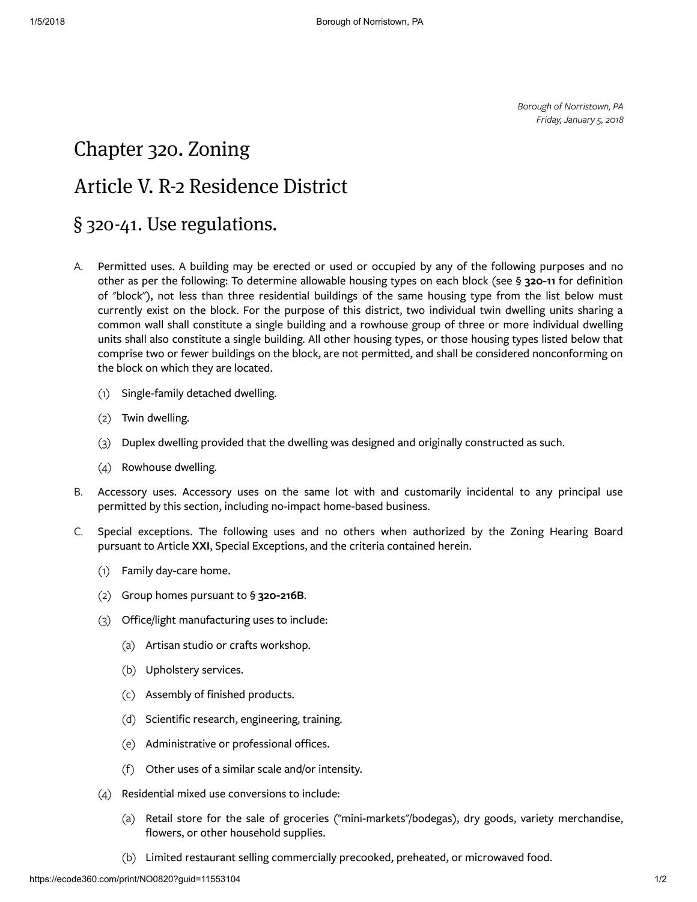Borough of Norristown, PA Friday, January 5, 2018

## <span id="page-0-0"></span>Chapter [320. Zoning](#page-0-0)

## <span id="page-0-1"></span>Article V. R-2 [Residence](#page-0-1) District

## <span id="page-0-2"></span>§ 320-41. Use [regulations.](#page-0-2)

- [A.](https://ecode360.com/print/29099879#29099879) Permitted uses. A building may be erected or used or occupied by any of the following purposes and no other as per the following: To determine allowable housing types on each block (see § [320-11](https://ecode360.com/print/11553035#11553035) for definition of "block"), not less than three residential buildings of the same housing type from the list below must currently exist on the block. For the purpose of this district, two individual twin dwelling units sharing a common wall shall constitute a single building and a rowhouse group of three or more individual dwelling units shall also constitute a single building. All other housing types, or those housing types listed below that comprise two or fewer buildings on the block, are not permitted, and shall be considered nonconforming on the block on which they are located.
	- [\(1\)](https://ecode360.com/print/29099880#29099880) Single-family detached dwelling.
	- [\(2\)](https://ecode360.com/print/29099881#29099881) Twin dwelling.
	- $(3)$ Duplex dwelling provided that the dwelling was designed and originally constructed as such.
	- [\(4\)](https://ecode360.com/print/29099883#29099883) Rowhouse dwelling.
- [B.](https://ecode360.com/print/29099884#29099884) Accessory uses. Accessory uses on the same lot with and customarily incidental to any principal use permitted by this section, including no-impact home-based business.
- [C.](https://ecode360.com/print/29099885#29099885) Special exceptions. The following uses and no others when authorized by the Zoning Hearing Board pursuant to Article [XXI](https://ecode360.com/print/11553886#11553886), Special Exceptions, and the criteria contained herein.
	- [\(1\)](https://ecode360.com/print/29099886#29099886) Family day-care home.
	- [\(2\)](https://ecode360.com/print/29099887#29099887) Group homes pursuant to § [320-216B](https://ecode360.com/print/11553990#11553990).
	- [\(3\)](https://ecode360.com/print/29099888#29099888) Office/light manufacturing uses to include:
		- [\(a\)](https://ecode360.com/print/29099889#29099889) Artisan studio or crafts workshop.
		- [\(b\)](https://ecode360.com/print/29099890#29099890) Upholstery services.
		- [\(c\)](https://ecode360.com/print/29099891#29099891) Assembly of finished products.
		- [\(d\)](https://ecode360.com/print/29099892#29099892) Scientific research, engineering, training.
		- [\(e\)](https://ecode360.com/print/29099893#29099893) Administrative or professional offices.
		- [\(f\)](https://ecode360.com/print/29099894#29099894) Other uses of a similar scale and/or intensity.
	- [\(4\)](https://ecode360.com/print/29099895#29099895) Residential mixed use conversions to include:
		- [\(a\)](https://ecode360.com/print/29099896#29099896) Retail store for the sale of groceries ("mini-markets"/bodegas), dry goods, variety merchandise, flowers, or other household supplies.
		- [\(b\)](https://ecode360.com/print/29099897#29099897) Limited restaurant selling commercially precooked, preheated, or microwaved food.